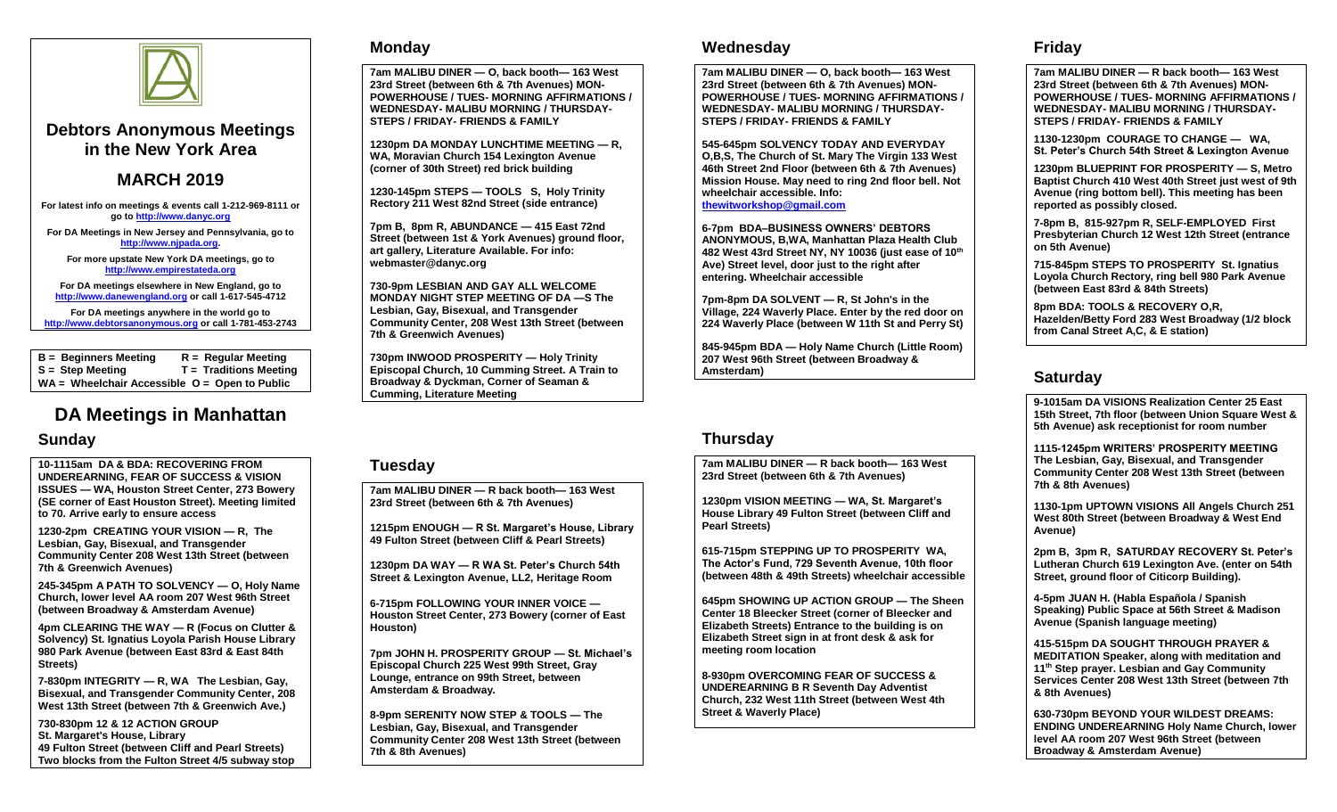

### **Debtors Anonymous Meetings in the New York Area**

### **MARCH 2019**

**For latest info on meetings & events call 1-212-969-8111 or go t[o http://www.danyc.org](http://www.danyc.org/)**

**For DA Meetings in New Jersey and Pennsylvania, go to [http://www.njpada.org.](http://www.njpada.org/)**

**For more upstate New York DA meetings, go to [http://www.empirestateda.org](http://www.empirestateda.org/)**

**For DA meetings elsewhere in New England, go to [http://www.danewengland.org](http://www.danewengland.org/) or call 1-617-545-4712**

**For DA meetings anywhere in the world go to [http://www.debtorsanonymous.org](http://www.debtorsanonymous.org/) or call 1-781-453-2743**

**B = Beginners Meeting R = Regular Meeting S = Step Meeting T = Traditions Meeting WA = Wheelchair Accessible O = Open to Public**

# **DA Meetings in Manhattan**

#### **Sunday**

**10-1115am DA & BDA: RECOVERING FROM UNDEREARNING, FEAR OF SUCCESS & VISION ISSUES — WA, Houston Street Center, 273 Bowery (SE corner of East Houston Street). Meeting limited to 70. Arrive early to ensure access**

**1230-2pm CREATING YOUR VISION — R, The Lesbian, Gay, Bisexual, and Transgender Community Center 208 West 13th Street (between 7th & Greenwich Avenues)**

**245-345pm A PATH TO SOLVENCY — O, Holy Name Church, lower level AA room 207 West 96th Street (between Broadway & Amsterdam Avenue)**

**4pm CLEARING THE WAY — R (Focus on Clutter & Solvency) St. Ignatius Loyola Parish House Library 980 Park Avenue (between East 83rd & East 84th Streets)**

**7-830pm INTEGRITY — R, WA The Lesbian, Gay, Bisexual, and Transgender Community Center, 208 West 13th Street (between 7th & Greenwich Ave.)**

**730-830pm 12 & 12 ACTION GROUP St. Margaret's House, Library 49 Fulton Street (between Cliff and Pearl Streets) Two blocks from the Fulton Street 4/5 subway stop**

#### **Monday**

**7am MALIBU DINER — O, back booth— 163 West 23rd Street (between 6th & 7th Avenues) MON-POWERHOUSE / TUES- MORNING AFFIRMATIONS / WEDNESDAY- MALIBU MORNING / THURSDAY-STEPS / FRIDAY- FRIENDS & FAMILY**

**1230pm DA MONDAY LUNCHTIME MEETING — R, WA, Moravian Church 154 Lexington Avenue (corner of 30th Street) red brick building** 

**1230-145pm STEPS — TOOLS S, Holy Trinity Rectory 211 West 82nd Street (side entrance)**

**7pm B, 8pm R, ABUNDANCE — 415 East 72nd Street (between 1st & York Avenues) ground floor, art gallery, Literature Available. For info: webmaster@danyc.org**

**730-9pm LESBIAN AND GAY ALL WELCOME MONDAY NIGHT STEP MEETING OF DA —S The Lesbian, Gay, Bisexual, and Transgender Community Center, 208 West 13th Street (between 7th & Greenwich Avenues)**

**730pm INWOOD PROSPERITY — Holy Trinity Episcopal Church, 10 Cumming Street. A Train to Broadway & Dyckman, Corner of Seaman & Cumming, Literature Meeting**

#### **Tuesday**

**7am MALIBU DINER — R back booth— 163 West 23rd Street (between 6th & 7th Avenues)** 

**1215pm ENOUGH — R St. Margaret's House, Library 49 Fulton Street (between Cliff & Pearl Streets)**

**1230pm DA WAY — R WA St. Peter's Church 54th Street & Lexington Avenue, LL2, Heritage Room**

**6-715pm FOLLOWING YOUR INNER VOICE — Houston Street Center, 273 Bowery (corner of East Houston)**

**7pm JOHN H. PROSPERITY GROUP — St. Michael's Episcopal Church 225 West 99th Street, Gray Lounge, entrance on 99th Street, between Amsterdam & Broadway.**

**8-9pm SERENITY NOW STEP & TOOLS — The Lesbian, Gay, Bisexual, and Transgender Community Center 208 West 13th Street (between 7th & 8th Avenues)**

#### **Wednesday**

**7am MALIBU DINER — O, back booth— 163 West 23rd Street (between 6th & 7th Avenues) MON-POWERHOUSE / TUES- MORNING AFFIRMATIONS / WEDNESDAY- MALIBU MORNING / THURSDAY-STEPS / FRIDAY- FRIENDS & FAMILY**

**545-645pm SOLVENCY TODAY AND EVERYDAY O,B,S, The Church of St. Mary The Virgin 133 West 46th Street 2nd Floor (between 6th & 7th Avenues) Mission House. May need to ring 2nd floor bell. Not wheelchair accessible. Info: [thewitworkshop@gmail.com](mailto:thewitworkshop@gmail.com)**

**6-7pm BDA–BUSINESS OWNERS' DEBTORS ANONYMOUS, B,WA, Manhattan Plaza Health Club 482 West 43rd Street NY, NY 10036 (just ease of 10th Ave) Street level, door just to the right after entering. Wheelchair accessible**

**7pm-8pm DA SOLVENT — R, St John's in the Village, 224 Waverly Place. Enter by the red door on 224 Waverly Place (between W 11th St and Perry St)** 

**845-945pm BDA — Holy Name Church (Little Room) 207 West 96th Street (between Broadway & Amsterdam)**

#### **Thursday**

**7am MALIBU DINER — R back booth— 163 West 23rd Street (between 6th & 7th Avenues)**

**1230pm VISION MEETING — WA, St. Margaret's House Library 49 Fulton Street (between Cliff and Pearl Streets)**

**615-715pm STEPPING UP TO PROSPERITY WA, The Actor's Fund, 729 Seventh Avenue, 10th floor (between 48th & 49th Streets) wheelchair accessible**

**645pm SHOWING UP ACTION GROUP — The Sheen Center 18 Bleecker Street (corner of Bleecker and Elizabeth Streets) Entrance to the building is on Elizabeth Street sign in at front desk & ask for meeting room location**

**8-930pm OVERCOMING FEAR OF SUCCESS & UNDEREARNING B R Seventh Day Adventist Church, 232 West 11th Street (between West 4th Street & Waverly Place)**

#### **Friday**

**7am MALIBU DINER — R back booth— 163 West 23rd Street (between 6th & 7th Avenues) MON-POWERHOUSE / TUES- MORNING AFFIRMATIONS / WEDNESDAY- MALIBU MORNING / THURSDAY-STEPS / FRIDAY- FRIENDS & FAMILY**

**1130-1230pm COURAGE TO CHANGE — WA, St. Peter's Church 54th Street & Lexington Avenue**

**1230pm BLUEPRINT FOR PROSPERITY — S, Metro Baptist Church 410 West 40th Street just west of 9th Avenue (ring bottom bell). This meeting has been reported as possibly closed.** 

**7-8pm B, 815-927pm R, SELF-EMPLOYED First Presbyterian Church 12 West 12th Street (entrance on 5th Avenue)**

**715-845pm STEPS TO PROSPERITY St. Ignatius Loyola Church Rectory, ring bell 980 Park Avenue (between East 83rd & 84th Streets)**

**8pm BDA: TOOLS & RECOVERY O,R, Hazelden/Betty Ford 283 West Broadway (1/2 block from Canal Street A,C, & E station)**

#### **Saturday**

**9-1015am DA VISIONS Realization Center 25 East 15th Street, 7th floor (between Union Square West & 5th Avenue) ask receptionist for room number**

**1115-1245pm WRITERS' PROSPERITY MEETING The Lesbian, Gay, Bisexual, and Transgender Community Center 208 West 13th Street (between 7th & 8th Avenues)**

**1130-1pm UPTOWN VISIONS All Angels Church 251 West 80th Street (between Broadway & West End Avenue)**

**2pm B, 3pm R, SATURDAY RECOVERY St. Peter's Lutheran Church 619 Lexington Ave. (enter on 54th Street, ground floor of Citicorp Building).**

**4-5pm JUAN H. (Habla Española / Spanish Speaking) Public Space at 56th Street & Madison Avenue (Spanish language meeting)**

**415-515pm DA SOUGHT THROUGH PRAYER & MEDITATION Speaker, along with meditation and 11th Step prayer. Lesbian and Gay Community Services Center 208 West 13th Street (between 7th & 8th Avenues)**

**630-730pm BEYOND YOUR WILDEST DREAMS: ENDING UNDEREARNING Holy Name Church, lower level AA room 207 West 96th Street (between Broadway & Amsterdam Avenue)**